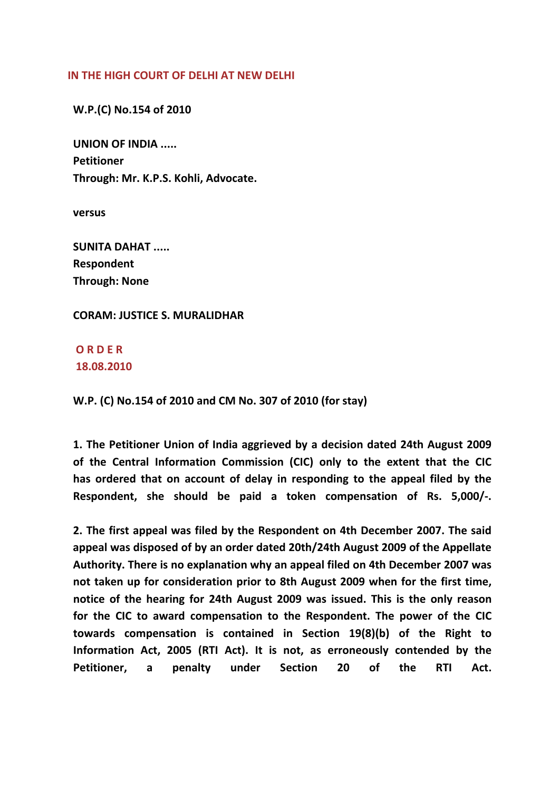## **IN THE HIGH COURT OF DELHI AT NEW DELHI**

 **W.P.(C) No.154 of 2010**

 **UNION OF INDIA ..... Petitioner Through: Mr. K.P.S. Kohli, Advocate.**

 **versus**

 **SUNITA DAHAT ..... Respondent Through: None**

## **CORAM: JUSTICE S. MURALIDHAR**

 **O R D E R 18.08.2010**

 **W.P. (C) No.154 of 2010 and CM No. 307 of 2010 (for stay)**

 **1. The Petitioner Union of India aggrieved by a decision dated 24th August 2009 of the Central Information Commission (CIC) only to the extent that the CIC has ordered that on account of delay in responding to the appeal filed by the Respondent, she should be paid a token compensation of Rs. 5,000/‐.**

 **2. The first appeal was filed by the Respondent on 4th December 2007. The said appeal was disposed of by an order dated 20th/24th August 2009 of the Appellate Authority. There is no explanation why an appeal filed on 4th December 2007 was not taken up for consideration prior to 8th August 2009 when for the first time, notice of the hearing for 24th August 2009 was issued. This is the only reason for the CIC to award compensation to the Respondent. The power of the CIC towards compensation is contained in Section 19(8)(b) of the Right to Information Act, 2005 (RTI Act). It is not, as erroneously contended by the Petitioner, a penalty under Section 20 of the RTI Act.**